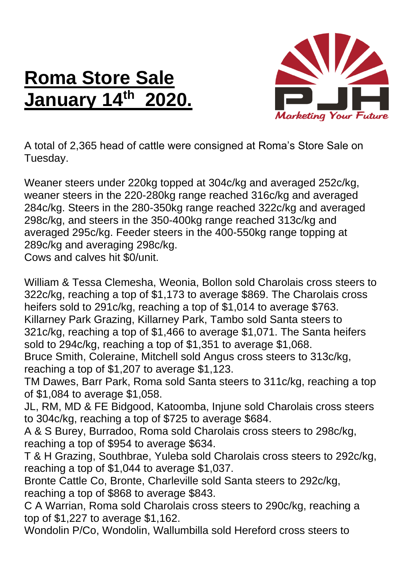## **Roma Store Sale January 14th 2020.**



A total of 2,365 head of cattle were consigned at Roma's Store Sale on Tuesday.

Weaner steers under 220kg topped at 304c/kg and averaged 252c/kg, weaner steers in the 220-280kg range reached 316c/kg and averaged 284c/kg. Steers in the 280-350kg range reached 322c/kg and averaged 298c/kg, and steers in the 350-400kg range reached 313c/kg and averaged 295c/kg. Feeder steers in the 400-550kg range topping at 289c/kg and averaging 298c/kg.

Cows and calves hit \$0/unit.

William & Tessa Clemesha, Weonia, Bollon sold Charolais cross steers to 322c/kg, reaching a top of \$1,173 to average \$869. The Charolais cross heifers sold to 291c/kg, reaching a top of \$1,014 to average \$763. Killarney Park Grazing, Killarney Park, Tambo sold Santa steers to 321c/kg, reaching a top of \$1,466 to average \$1,071. The Santa heifers sold to 294c/kg, reaching a top of \$1,351 to average \$1,068.

Bruce Smith, Coleraine, Mitchell sold Angus cross steers to 313c/kg, reaching a top of \$1,207 to average \$1,123.

TM Dawes, Barr Park, Roma sold Santa steers to 311c/kg, reaching a top of \$1,084 to average \$1,058.

JL, RM, MD & FE Bidgood, Katoomba, Injune sold Charolais cross steers to 304c/kg, reaching a top of \$725 to average \$684.

A & S Burey, Burradoo, Roma sold Charolais cross steers to 298c/kg, reaching a top of \$954 to average \$634.

T & H Grazing, Southbrae, Yuleba sold Charolais cross steers to 292c/kg, reaching a top of \$1,044 to average \$1,037.

Bronte Cattle Co, Bronte, Charleville sold Santa steers to 292c/kg, reaching a top of \$868 to average \$843.

C A Warrian, Roma sold Charolais cross steers to 290c/kg, reaching a top of \$1,227 to average \$1,162.

Wondolin P/Co, Wondolin, Wallumbilla sold Hereford cross steers to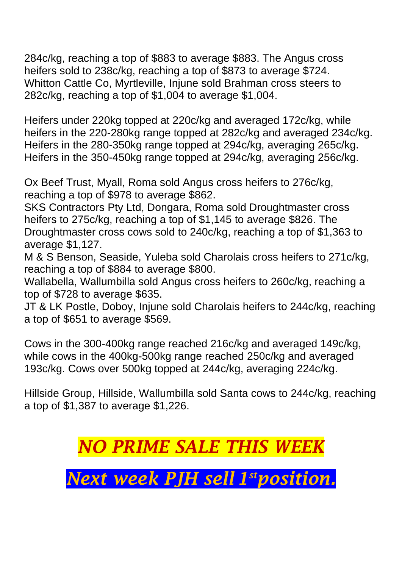284c/kg, reaching a top of \$883 to average \$883. The Angus cross heifers sold to 238c/kg, reaching a top of \$873 to average \$724. Whitton Cattle Co, Myrtleville, Injune sold Brahman cross steers to 282c/kg, reaching a top of \$1,004 to average \$1,004.

Heifers under 220kg topped at 220c/kg and averaged 172c/kg, while heifers in the 220-280kg range topped at 282c/kg and averaged 234c/kg. Heifers in the 280-350kg range topped at 294c/kg, averaging 265c/kg. Heifers in the 350-450kg range topped at 294c/kg, averaging 256c/kg.

Ox Beef Trust, Myall, Roma sold Angus cross heifers to 276c/kg, reaching a top of \$978 to average \$862.

SKS Contractors Pty Ltd, Dongara, Roma sold Droughtmaster cross heifers to 275c/kg, reaching a top of \$1,145 to average \$826. The Droughtmaster cross cows sold to 240c/kg, reaching a top of \$1,363 to average \$1,127.

M & S Benson, Seaside, Yuleba sold Charolais cross heifers to 271c/kg, reaching a top of \$884 to average \$800.

Wallabella, Wallumbilla sold Angus cross heifers to 260c/kg, reaching a top of \$728 to average \$635.

JT & LK Postle, Doboy, Injune sold Charolais heifers to 244c/kg, reaching a top of \$651 to average \$569.

Cows in the 300-400kg range reached 216c/kg and averaged 149c/kg, while cows in the 400kg-500kg range reached 250c/kg and averaged 193c/kg. Cows over 500kg topped at 244c/kg, averaging 224c/kg.

Hillside Group, Hillside, Wallumbilla sold Santa cows to 244c/kg, reaching a top of \$1,387 to average \$1,226.

## *NO PRIME SALE THIS WEEK*

*Next week PJH sell 1 stposition.*